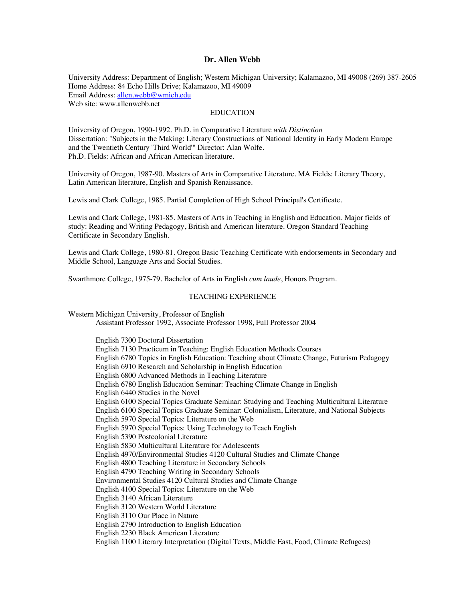## **Dr. Allen Webb**

University Address: Department of English; Western Michigan University; Kalamazoo, MI 49008 (269) 387-2605 Home Address: 84 Echo Hills Drive; Kalamazoo, MI 49009 Email Address: allen.webb@wmich.edu Web site: www.allenwebb.net

# EDUCATION

University of Oregon, 1990-1992. Ph.D. in Comparative Literature *with Distinction* Dissertation: "Subjects in the Making: Literary Constructions of National Identity in Early Modern Europe and the Twentieth Century 'Third World'" Director: Alan Wolfe. Ph.D. Fields: African and African American literature.

University of Oregon, 1987-90. Masters of Arts in Comparative Literature. MA Fields: Literary Theory, Latin American literature, English and Spanish Renaissance.

Lewis and Clark College, 1985. Partial Completion of High School Principal's Certificate.

Lewis and Clark College, 1981-85. Masters of Arts in Teaching in English and Education. Major fields of study: Reading and Writing Pedagogy, British and American literature. Oregon Standard Teaching Certificate in Secondary English.

Lewis and Clark College, 1980-81. Oregon Basic Teaching Certificate with endorsements in Secondary and Middle School, Language Arts and Social Studies.

Swarthmore College, 1975-79. Bachelor of Arts in English *cum laude*, Honors Program.

## TEACHING EXPERIENCE

Western Michigan University, Professor of English Assistant Professor 1992, Associate Professor 1998, Full Professor 2004 English 7300 Doctoral Dissertation English 7130 Practicum in Teaching: English Education Methods Courses English 6780 Topics in English Education: Teaching about Climate Change, Futurism Pedagogy English 6910 Research and Scholarship in English Education English 6800 Advanced Methods in Teaching Literature

- English 6780 English Education Seminar: Teaching Climate Change in English
- English 6440 Studies in the Novel

English 6100 Special Topics Graduate Seminar: Studying and Teaching Multicultural Literature English 6100 Special Topics Graduate Seminar: Colonialism, Literature, and National Subjects English 5970 Special Topics: Literature on the Web

English 5970 Special Topics: Using Technology to Teach English

English 5390 Postcolonial Literature

English 5830 Multicultural Literature for Adolescents

English 4970/Environmental Studies 4120 Cultural Studies and Climate Change

English 4800 Teaching Literature in Secondary Schools

English 4790 Teaching Writing in Secondary Schools

Environmental Studies 4120 Cultural Studies and Climate Change

English 4100 Special Topics: Literature on the Web

English 3140 African Literature

English 3120 Western World Literature

English 3110 Our Place in Nature

English 2790 Introduction to English Education

English 2230 Black American Literature

English 1100 Literary Interpretation (Digital Texts, Middle East, Food, Climate Refugees)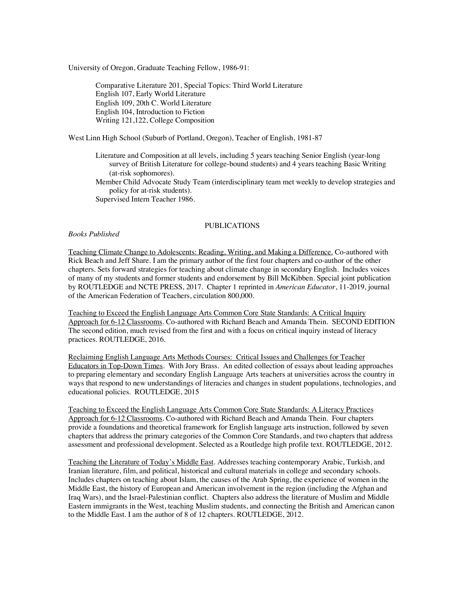University of Oregon, Graduate Teaching Fellow, 1986-91:

Comparative Literature 201, Special Topics: Third World Literature English 107, Early World Literature English 109, 20th C. World Literature English 104, Introduction to Fiction Writing 121,122, College Composition

West Linn High School (Suburb of Portland, Oregon), Teacher of English, 1981-87

- Literature and Composition at all levels, including 5 years teaching Senior English (year-long survey of British Literature for college-bound students) and 4 years teaching Basic Writing (at-risk sophomores).
- Member Child Advocate Study Team (interdisciplinary team met weekly to develop strategies and policy for at-risk students).

Supervised Intern Teacher 1986.

# PUBLICATIONS

#### *Books Published*

Teaching Climate Change to Adolescents: Reading, Writing, and Making a Difference. Co-authored with Rick Beach and Jeff Share. I am the primary author of the first four chapters and co-author of the other chapters. Sets forward strategies for teaching about climate change in secondary English. Includes voices of many of my students and former students and endorsement by Bill McKibben. Special joint publication by ROUTLEDGE and NCTE PRESS, 2017. Chapter 1 reprinted in *American Educator*, 11-2019, journal of the American Federation of Teachers, circulation 800,000.

Teaching to Exceed the English Language Arts Common Core State Standards: A Critical Inquiry Approach for 6-12 Classrooms. Co-authored with Richard Beach and Amanda Thein. SECOND EDITION The second edition, much revised from the first and with a focus on critical inquiry instead of literacy practices. ROUTLEDGE, 2016.

Reclaiming English Language Arts Methods Courses: Critical Issues and Challenges for Teacher Educators in Top-Down Times. With Jory Brass. An edited collection of essays about leading approaches to preparing elementary and secondary English Language Arts teachers at universities across the country in ways that respond to new understandings of literacies and changes in student populations, technologies, and educational policies. ROUTLEDGE, 2015

Teaching to Exceed the English Language Arts Common Core State Standards: A Literacy Practices Approach for 6-12 Classrooms. Co-authored with Richard Beach and Amanda Thein. Four chapters provide a foundations and theoretical framework for English language arts instruction, followed by seven chapters that address the primary categories of the Common Core Standards, and two chapters that address assessment and professional development. Selected as a Routledge high profile text. ROUTLEDGE, 2012.

Teaching the Literature of Today's Middle East. Addresses teaching contemporary Arabic, Turkish, and Iranian literature, film, and political, historical and cultural materials in college and secondary schools. Includes chapters on teaching about Islam, the causes of the Arab Spring, the experience of women in the Middle East, the history of European and American involvement in the region (including the Afghan and Iraq Wars), and the Israel-Palestinian conflict. Chapters also address the literature of Muslim and Middle Eastern immigrants in the West, teaching Muslim students, and connecting the British and American canon to the Middle East. I am the author of 8 of 12 chapters. ROUTLEDGE, 2012.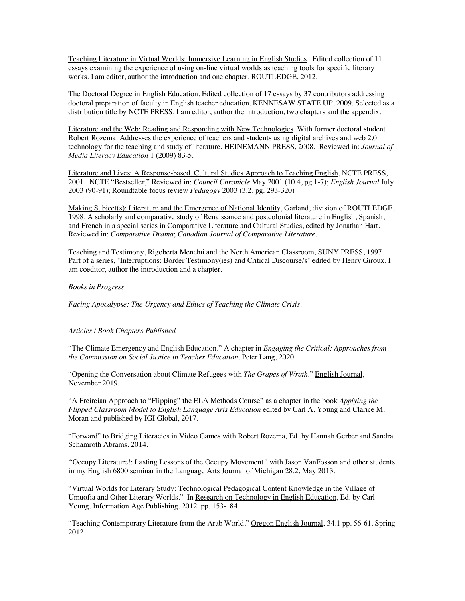Teaching Literature in Virtual Worlds: Immersive Learning in English Studies. Edited collection of 11 essays examining the experience of using on-line virtual worlds as teaching tools for specific literary works. I am editor, author the introduction and one chapter. ROUTLEDGE, 2012.

The Doctoral Degree in English Education. Edited collection of 17 essays by 37 contributors addressing doctoral preparation of faculty in English teacher education. KENNESAW STATE UP, 2009. Selected as a distribution title by NCTE PRESS. I am editor, author the introduction, two chapters and the appendix.

Literature and the Web: Reading and Responding with New Technologies With former doctoral student Robert Rozema. Addresses the experience of teachers and students using digital archives and web 2.0 technology for the teaching and study of literature. HEINEMANN PRESS, 2008. Reviewed in: *Journal of Media Literacy Education* 1 (2009) 83-5.

Literature and Lives: A Response-based, Cultural Studies Approach to Teaching English, NCTE PRESS, 2001. NCTE "Bestseller," Reviewed in: *Council Chronicle* May 2001 (10.4, pg 1-7); *English Journal* July 2003 (90-91); Roundtable focus review *Pedagogy* 2003 (3.2, pg. 293-320)

Making Subject(s): Literature and the Emergence of National Identity, Garland, division of ROUTLEDGE, 1998. A scholarly and comparative study of Renaissance and postcolonial literature in English, Spanish, and French in a special series in Comparative Literature and Cultural Studies, edited by Jonathan Hart. Reviewed in: *Comparative Drama*; *Canadian Journal of Comparative Literature*.

Teaching and Testimony, Rigoberta Menchú and the North American Classroom, SUNY PRESS, 1997. Part of a series, "Interruptions: Border Testimony(ies) and Critical Discourse/s" edited by Henry Giroux. I am coeditor, author the introduction and a chapter.

## *Books in Progress*

*Facing Apocalypse: The Urgency and Ethics of Teaching the Climate Crisis*.

# *Articles / Book Chapters Published*

"The Climate Emergency and English Education." A chapter in *Engaging the Critical: Approaches from the Commission on Social Justice in Teacher Education*. Peter Lang, 2020.

"Opening the Conversation about Climate Refugees with *The Grapes of Wrath*." English Journal, November 2019.

"A Freireian Approach to "Flipping" the ELA Methods Course" as a chapter in the book *Applying the Flipped Classroom Model to English Language Arts Education* edited by Carl A. Young and Clarice M. Moran and published by IGI Global, 2017.

"Forward" to Bridging Literacies in Video Games with Robert Rozema*,* Ed. by Hannah Gerber and Sandra Schamroth Abrams. 2014.

*"*Occupy Literature!: Lasting Lessons of the Occupy Movement*"* with Jason VanFosson and other students in my English 6800 seminar in the Language Arts Journal of Michigan 28.2, May 2013.

"Virtual Worlds for Literary Study: Technological Pedagogical Content Knowledge in the Village of Umuofia and Other Literary Worlds." In Research on Technology in English Education, Ed. by Carl Young. Information Age Publishing. 2012. pp. 153-184.

"Teaching Contemporary Literature from the Arab World," Oregon English Journal, 34.1 pp. 56-61. Spring 2012.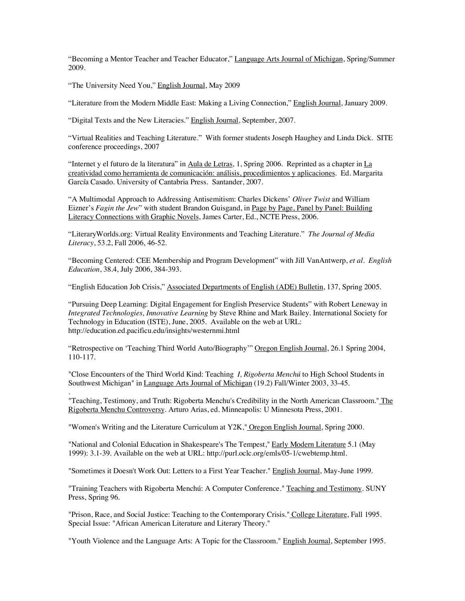"Becoming a Mentor Teacher and Teacher Educator," Language Arts Journal of Michigan, Spring/Summer 2009.

"The University Need You," English Journal, May 2009

.

"Literature from the Modern Middle East: Making a Living Connection," English Journal, January 2009*.*

"Digital Texts and the New Literacies." English Journal, September, 2007.

"Virtual Realities and Teaching Literature." With former students Joseph Haughey and Linda Dick. SITE conference proceedings, 2007

"Internet y el futuro de la literatura" in Aula de Letras, 1, Spring 2006. Reprinted as a chapter in La creatividad como herramienta de comunicación: análisis, procedimientos y aplicaciones. Ed. Margarita García Casado. University of Cantabria Press. Santander, 2007.

"A Multimodal Approach to Addressing Antisemitism: Charles Dickens' *Oliver Twist* and William Eizner's *Fagin the Jew*" with student Brandon Guisgand, in Page by Page, Panel by Panel: Building Literacy Connections with Graphic Novels, James Carter, Ed., NCTE Press, 2006.

"LiteraryWorlds.org: Virtual Reality Environments and Teaching Literature." *The Journal of Media Literacy*, 53.2, Fall 2006, 46-52.

"Becoming Centered: CEE Membership and Program Development" with Jill VanAntwerp, *et al*. *English Education*, 38.4, July 2006, 384-393.

"English Education Job Crisis," Associated Departments of English (ADE) Bulletin, 137, Spring 2005.

"Pursuing Deep Learning: Digital Engagement for English Preservice Students" with Robert Leneway in *Integrated Technologies, Innovative Learning* by Steve Rhine and Mark Bailey. International Society for Technology in Education (ISTE), June, 2005. Available on the web at URL: http://education.ed.pacificu.edu/insights/westernmi.html

"Retrospective on 'Teaching Third World Auto/Biography'" Oregon English Journal, 26.1 Spring 2004, 110-117.

"Close Encounters of the Third World Kind: Teaching *I, Rigoberta Menchú* to High School Students in Southwest Michigan" in Language Arts Journal of Michigan (19.2) Fall/Winter 2003, 33-45.

"Teaching, Testimony, and Truth: Rigoberta Menchu's Credibility in the North American Classroom." The Rigoberta Menchu Controversy. Arturo Arias, ed. Minneapolis: U Minnesota Press, 2001.

"Women's Writing and the Literature Curriculum at Y2K," Oregon English Journal, Spring 2000.

"National and Colonial Education in Shakespeare's The Tempest," Early Modern Literature 5.1 (May 1999): 3.1-39. Available on the web at URL: http://purl.oclc.org/emls/05-1/cwebtemp.html.

"Sometimes it Doesn't Work Out: Letters to a First Year Teacher." English Journal, May-June 1999.

"Training Teachers with Rigoberta Menchú: A Computer Conference." Teaching and Testimony. SUNY Press, Spring 96.

"Prison, Race, and Social Justice: Teaching to the Contemporary Crisis." College Literature, Fall 1995. Special Issue: "African American Literature and Literary Theory."

"Youth Violence and the Language Arts: A Topic for the Classroom." English Journal, September 1995.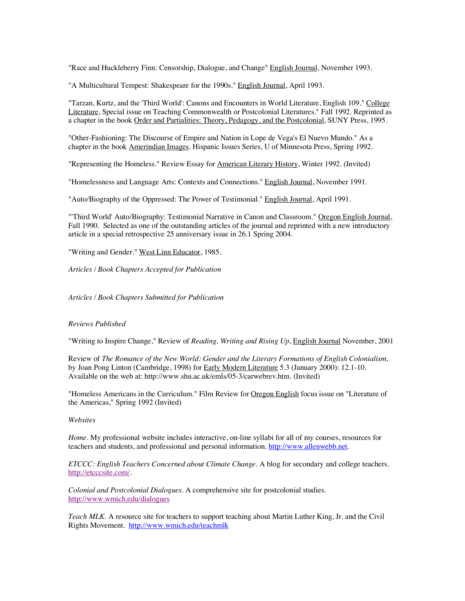"Race and Huckleberry Finn: Censorship, Dialogue, and Change" English Journal, November 1993.

"A Multicultural Tempest: Shakespeare for the 1990s." English Journal, April 1993.

"Tarzan, Kurtz, and the 'Third World': Canons and Encounters in World Literature, English 109." College Literature, Special issue on Teaching Commonwealth or Postcolonial Literatures." Fall 1992. Reprinted as a chapter in the book Order and Partialities: Theory, Pedagogy, and the Postcolonial, SUNY Press, 1995.

"Other-Fashioning: The Discourse of Empire and Nation in Lope de Vega's El Nuevo Mundo." As a chapter in the book Amerindian Images. Hispanic Issues Series, U of Minnesota Press, Spring 1992.

"Representing the Homeless." Review Essay for American Literary History, Winter 1992. (Invited)

"Homelessness and Language Arts: Contexts and Connections." English Journal, November 1991.

"Auto/Biography of the Oppressed: The Power of Testimonial." English Journal, April 1991.

"'Third World' Auto/Biography: Testimonial Narrative in Canon and Classroom." Oregon English Journal, Fall 1990. Selected as one of the outstanding articles of the journal and reprinted with a new introductory article in a special retrospective 25 anniversary issue in 26.1 Spring 2004.

"Writing and Gender." West Linn Educator, 1985.

*Articles / Book Chapters Accepted for Publication* 

*Articles / Book Chapters Submitted for Publication*

# *Reviews Published*

"Writing to Inspire Change," Review of *Reading, Writing and Rising Up*, English Journal November, 2001

Review of *The Romance of the New World: Gender and the Literary Formations of English Colonialism*, by Joan Pong Linton (Cambridge, 1998) for **Early Modern Literature** 5.3 (January 2000): 12.1-10. Available on the web at: http://www.shu.ac.uk/emls/05-3/carwebrev.htm. (Invited)

"Homeless Americans in the Curriculum." Film Review for Oregon English focus issue on "Literature of the Americas," Spring 1992 (Invited)

## *Websites*

*Home*. My professional website includes interactive, on-line syllabi for all of my courses, resources for teachers and students, and professional and personal information. http://www.allenwebb.net.

*ETCCC: English Teachers Concerned about Climate Change.* A blog for secondary and college teachers. http://etcccsite.com/.

*Colonial and Postcolonial Dialogues*. A comprehensive site for postcolonial studies. http://www.wmich.edu/dialogues

*Teach MLK*. A resource site for teachers to support teaching about Martin Luther King, Jr. and the Civil Rights Movement. http://www.wmich.edu/teachmlk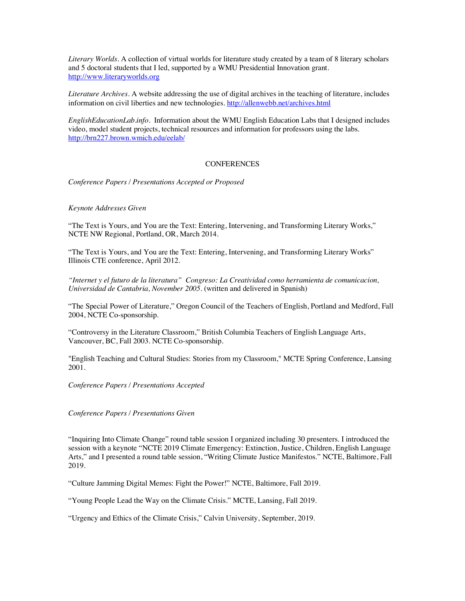*Literary Worlds*. A collection of virtual worlds for literature study created by a team of 8 literary scholars and 5 doctoral students that I led, supported by a WMU Presidential Innovation grant. http://www.literaryworlds.org

*Literature Archives*. A website addressing the use of digital archives in the teaching of literature, includes information on civil liberties and new technologies. http://allenwebb.net/archives.html

*EnglishEducationLab.info*. Information about the WMU English Education Labs that I designed includes video, model student projects, technical resources and information for professors using the labs. http://brn227.brown.wmich.edu/eelab/

# **CONFERENCES**

*Conference Papers / Presentations Accepted or Proposed*

*Keynote Addresses Given*

"The Text is Yours, and You are the Text: Entering, Intervening, and Transforming Literary Works," NCTE NW Regional, Portland, OR, March 2014.

"The Text is Yours, and You are the Text: Entering, Intervening, and Transforming Literary Works" Illinois CTE conference, April 2012.

*"Internet y el futuro de la literatura" Congreso: La Creatividad como herramienta de comunicacion, Universidad de Cantabria, November 2005.* (written and delivered in Spanish)

"The Special Power of Literature," Oregon Council of the Teachers of English, Portland and Medford, Fall 2004, NCTE Co-sponsorship.

"Controversy in the Literature Classroom," British Columbia Teachers of English Language Arts, Vancouver, BC, Fall 2003. NCTE Co-sponsorship.

"English Teaching and Cultural Studies: Stories from my Classroom," MCTE Spring Conference, Lansing 2001.

*Conference Papers / Presentations Accepted*

*Conference Papers / Presentations Given*

"Inquiring Into Climate Change" round table session I organized including 30 presenters. I introduced the session with a keynote "NCTE 2019 Climate Emergency: Extinction, Justice, Children, English Language Arts," and I presented a round table session, "Writing Climate Justice Manifestos." NCTE, Baltimore, Fall 2019.

"Culture Jamming Digital Memes: Fight the Power!" NCTE, Baltimore, Fall 2019.

"Young People Lead the Way on the Climate Crisis." MCTE, Lansing, Fall 2019.

"Urgency and Ethics of the Climate Crisis," Calvin University, September, 2019.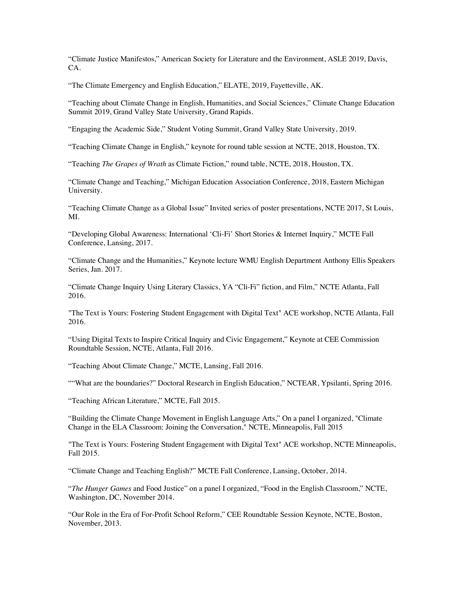"Climate Justice Manifestos," American Society for Literature and the Environment, ASLE 2019, Davis, CA.

"The Climate Emergency and English Education," ELATE, 2019, Fayetteville, AK.

"Teaching about Climate Change in English, Humanities, and Social Sciences," Climate Change Education Summit 2019, Grand Valley State University, Grand Rapids.

"Engaging the Academic Side," Student Voting Summit, Grand Valley State University, 2019.

"Teaching Climate Change in English," keynote for round table session at NCTE, 2018, Houston, TX.

"Teaching *The Grapes of Wrath* as Climate Fiction," round table, NCTE, 2018, Houston, TX.

"Climate Change and Teaching," Michigan Education Association Conference, 2018, Eastern Michigan University.

"Teaching Climate Change as a Global Issue" Invited series of poster presentations, NCTE 2017, St Louis, MI.

"Developing Global Awareness: International 'Cli-Fi' Short Stories & Internet Inquiry," MCTE Fall Conference, Lansing, 2017.

"Climate Change and the Humanities," Keynote lecture WMU English Department Anthony Ellis Speakers Series, Jan. 2017.

"Climate Change Inquiry Using Literary Classics, YA "Cli-Fi" fiction, and Film," NCTE Atlanta, Fall 2016.

"The Text is Yours: Fostering Student Engagement with Digital Text" ACE workshop, NCTE Atlanta, Fall 2016.

"Using Digital Texts to Inspire Critical Inquiry and Civic Engagement," Keynote at CEE Commission Roundtable Session, NCTE, Atlanta, Fall 2016.

"Teaching About Climate Change," MCTE, Lansing, Fall 2016.

""What are the boundaries?" Doctoral Research in English Education," NCTEAR, Ypsilanti, Spring 2016.

"Teaching African Literature," MCTE, Fall 2015.

"Building the Climate Change Movement in English Language Arts," On a panel I organized, "Climate Change in the ELA Classroom: Joining the Conversation," NCTE, Minneapolis, Fall 2015

"The Text is Yours: Fostering Student Engagement with Digital Text" ACE workshop, NCTE Minneapolis, Fall 2015.

"Climate Change and Teaching English?" MCTE Fall Conference, Lansing, October, 2014.

"*The Hunger Games* and Food Justice" on a panel I organized, "Food in the English Classroom," NCTE, Washington, DC, November 2014.

"Our Role in the Era of For-Profit School Reform," CEE Roundtable Session Keynote, NCTE, Boston, November, 2013.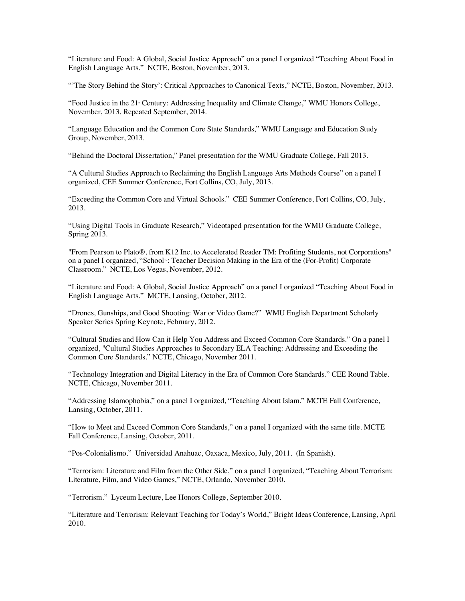"Literature and Food: A Global, Social Justice Approach" on a panel I organized "Teaching About Food in English Language Arts." NCTE, Boston, November, 2013.

"'The Story Behind the Story': Critical Approaches to Canonical Texts," NCTE, Boston, November, 2013.

"Food Justice in the 21 Century: Addressing Inequality and Climate Change," WMU Honors College, November, 2013. Repeated September, 2014.

"Language Education and the Common Core State Standards," WMU Language and Education Study Group, November, 2013.

"Behind the Doctoral Dissertation," Panel presentation for the WMU Graduate College, Fall 2013.

"A Cultural Studies Approach to Reclaiming the English Language Arts Methods Course" on a panel I organized, CEE Summer Conference, Fort Collins, CO, July, 2013.

"Exceeding the Common Core and Virtual Schools." CEE Summer Conference, Fort Collins, CO, July, 2013.

"Using Digital Tools in Graduate Research," Videotaped presentation for the WMU Graduate College, Spring 2013.

"From Pearson to Plato®, from K12 Inc. to Accelerated Reader TM: Profiting Students, not Corporations" on a panel I organized, "School": Teacher Decision Making in the Era of the (For-Profit) Corporate Classroom."NCTE, Los Vegas, November, 2012.

"Literature and Food: A Global, Social Justice Approach" on a panel I organized "Teaching About Food in English Language Arts." MCTE, Lansing, October, 2012.

"Drones, Gunships, and Good Shooting: War or Video Game?" WMU English Department Scholarly Speaker Series Spring Keynote, February, 2012.

"Cultural Studies and How Can it Help You Address and Exceed Common Core Standards." On a panel I organized, "Cultural Studies Approaches to Secondary ELA Teaching: Addressing and Exceeding the Common Core Standards." NCTE, Chicago, November 2011.

"Technology Integration and Digital Literacy in the Era of Common Core Standards." CEE Round Table. NCTE, Chicago, November 2011.

"Addressing Islamophobia," on a panel I organized, "Teaching About Islam." MCTE Fall Conference, Lansing, October, 2011.

"How to Meet and Exceed Common Core Standards," on a panel I organized with the same title. MCTE Fall Conference, Lansing, October, 2011.

"Pos-Colonialismo." Universidad Anahuac, Oaxaca, Mexico, July, 2011. (In Spanish).

"Terrorism: Literature and Film from the Other Side," on a panel I organized, "Teaching About Terrorism: Literature, Film, and Video Games," NCTE, Orlando, November 2010.

"Terrorism." Lyceum Lecture, Lee Honors College, September 2010.

"Literature and Terrorism: Relevant Teaching for Today's World," Bright Ideas Conference, Lansing, April 2010.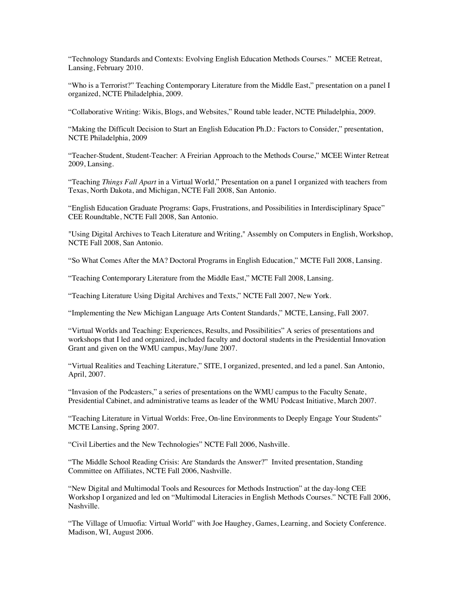"Technology Standards and Contexts: Evolving English Education Methods Courses." MCEE Retreat, Lansing, February 2010.

"Who is a Terrorist?" Teaching Contemporary Literature from the Middle East," presentation on a panel I organized, NCTE Philadelphia, 2009.

"Collaborative Writing: Wikis, Blogs, and Websites," Round table leader, NCTE Philadelphia, 2009.

"Making the Difficult Decision to Start an English Education Ph.D.: Factors to Consider," presentation, NCTE Philadelphia, 2009

"Teacher-Student, Student-Teacher: A Freirian Approach to the Methods Course," MCEE Winter Retreat 2009, Lansing.

"Teaching *Things Fall Apart* in a Virtual World," Presentation on a panel I organized with teachers from Texas, North Dakota, and Michigan, NCTE Fall 2008, San Antonio.

"English Education Graduate Programs: Gaps, Frustrations, and Possibilities in Interdisciplinary Space" CEE Roundtable, NCTE Fall 2008, San Antonio.

"Using Digital Archives to Teach Literature and Writing," Assembly on Computers in English, Workshop, NCTE Fall 2008, San Antonio.

"So What Comes After the MA? Doctoral Programs in English Education," MCTE Fall 2008, Lansing.

"Teaching Contemporary Literature from the Middle East," MCTE Fall 2008, Lansing.

"Teaching Literature Using Digital Archives and Texts," NCTE Fall 2007, New York.

"Implementing the New Michigan Language Arts Content Standards," MCTE, Lansing, Fall 2007.

"Virtual Worlds and Teaching: Experiences, Results, and Possibilities" A series of presentations and workshops that I led and organized, included faculty and doctoral students in the Presidential Innovation Grant and given on the WMU campus, May/June 2007.

"Virtual Realities and Teaching Literature," SITE, I organized, presented, and led a panel. San Antonio, April, 2007.

"Invasion of the Podcasters," a series of presentations on the WMU campus to the Faculty Senate, Presidential Cabinet, and administrative teams as leader of the WMU Podcast Initiative, March 2007.

"Teaching Literature in Virtual Worlds: Free, On-line Environments to Deeply Engage Your Students" MCTE Lansing, Spring 2007.

"Civil Liberties and the New Technologies" NCTE Fall 2006, Nashville.

"The Middle School Reading Crisis: Are Standards the Answer?" Invited presentation, Standing Committee on Affiliates, NCTE Fall 2006, Nashville.

"New Digital and Multimodal Tools and Resources for Methods Instruction" at the day-long CEE Workshop I organized and led on "Multimodal Literacies in English Methods Courses." NCTE Fall 2006, Nashville.

"The Village of Umuofia: Virtual World" with Joe Haughey, Games, Learning, and Society Conference. Madison, WI, August 2006.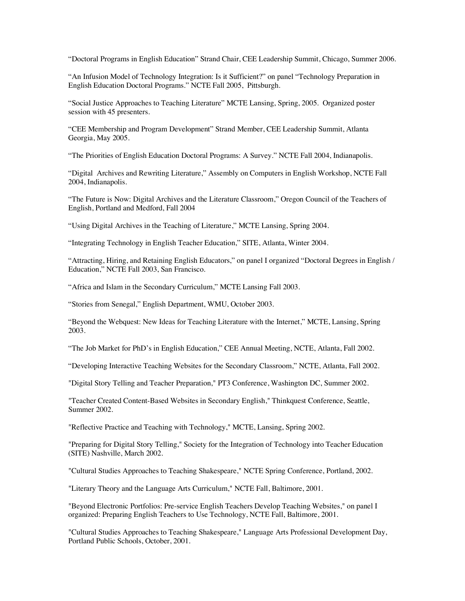"Doctoral Programs in English Education" Strand Chair, CEE Leadership Summit, Chicago, Summer 2006.

"An Infusion Model of Technology Integration: Is it Sufficient?" on panel "Technology Preparation in English Education Doctoral Programs." NCTE Fall 2005, Pittsburgh.

"Social Justice Approaches to Teaching Literature" MCTE Lansing, Spring, 2005. Organized poster session with 45 presenters.

"CEE Membership and Program Development" Strand Member, CEE Leadership Summit, Atlanta Georgia, May 2005.

"The Priorities of English Education Doctoral Programs: A Survey." NCTE Fall 2004, Indianapolis.

"Digital Archives and Rewriting Literature," Assembly on Computers in English Workshop, NCTE Fall 2004, Indianapolis.

"The Future is Now: Digital Archives and the Literature Classroom," Oregon Council of the Teachers of English, Portland and Medford, Fall 2004

"Using Digital Archives in the Teaching of Literature," MCTE Lansing, Spring 2004.

"Integrating Technology in English Teacher Education," SITE, Atlanta, Winter 2004.

"Attracting, Hiring, and Retaining English Educators," on panel I organized "Doctoral Degrees in English / Education," NCTE Fall 2003, San Francisco.

"Africa and Islam in the Secondary Curriculum," MCTE Lansing Fall 2003.

"Stories from Senegal," English Department, WMU, October 2003.

"Beyond the Webquest: New Ideas for Teaching Literature with the Internet," MCTE, Lansing, Spring 2003.

"The Job Market for PhD's in English Education," CEE Annual Meeting, NCTE, Atlanta, Fall 2002.

"Developing Interactive Teaching Websites for the Secondary Classroom," NCTE, Atlanta, Fall 2002.

"Digital Story Telling and Teacher Preparation," PT3 Conference, Washington DC, Summer 2002.

"Teacher Created Content-Based Websites in Secondary English," Thinkquest Conference, Seattle, Summer 2002.

"Reflective Practice and Teaching with Technology," MCTE, Lansing, Spring 2002.

"Preparing for Digital Story Telling," Society for the Integration of Technology into Teacher Education (SITE) Nashville, March 2002.

"Cultural Studies Approaches to Teaching Shakespeare," NCTE Spring Conference, Portland, 2002.

"Literary Theory and the Language Arts Curriculum," NCTE Fall, Baltimore, 2001.

"Beyond Electronic Portfolios: Pre-service English Teachers Develop Teaching Websites," on panel I organized: Preparing English Teachers to Use Technology, NCTE Fall, Baltimore, 2001.

"Cultural Studies Approaches to Teaching Shakespeare," Language Arts Professional Development Day, Portland Public Schools, October, 2001.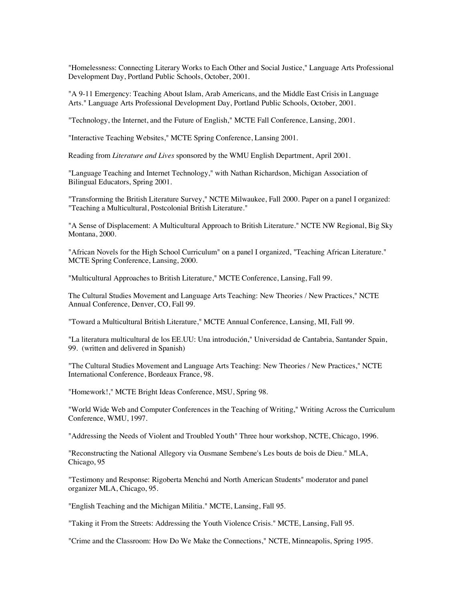"Homelessness: Connecting Literary Works to Each Other and Social Justice," Language Arts Professional Development Day, Portland Public Schools, October, 2001.

"A 9-11 Emergency: Teaching About Islam, Arab Americans, and the Middle East Crisis in Language Arts." Language Arts Professional Development Day, Portland Public Schools, October, 2001.

"Technology, the Internet, and the Future of English," MCTE Fall Conference, Lansing, 2001.

"Interactive Teaching Websites," MCTE Spring Conference, Lansing 2001.

Reading from *Literature and Lives* sponsored by the WMU English Department, April 2001.

"Language Teaching and Internet Technology," with Nathan Richardson, Michigan Association of Bilingual Educators, Spring 2001.

"Transforming the British Literature Survey," NCTE Milwaukee, Fall 2000. Paper on a panel I organized: "Teaching a Multicultural, Postcolonial British Literature."

"A Sense of Displacement: A Multicultural Approach to British Literature." NCTE NW Regional, Big Sky Montana, 2000.

"African Novels for the High School Curriculum" on a panel I organized, "Teaching African Literature." MCTE Spring Conference, Lansing, 2000.

"Multicultural Approaches to British Literature," MCTE Conference, Lansing, Fall 99.

The Cultural Studies Movement and Language Arts Teaching: New Theories / New Practices," NCTE Annual Conference, Denver, CO, Fall 99.

"Toward a Multicultural British Literature," MCTE Annual Conference, Lansing, MI, Fall 99.

"La literatura multicultural de los EE.UU: Una introdución," Universidad de Cantabria, Santander Spain, 99. (written and delivered in Spanish)

"The Cultural Studies Movement and Language Arts Teaching: New Theories / New Practices," NCTE International Conference, Bordeaux France, 98.

"Homework!," MCTE Bright Ideas Conference, MSU, Spring 98.

"World Wide Web and Computer Conferences in the Teaching of Writing," Writing Across the Curriculum Conference, WMU, 1997.

"Addressing the Needs of Violent and Troubled Youth" Three hour workshop, NCTE, Chicago, 1996.

"Reconstructing the National Allegory via Ousmane Sembene's Les bouts de bois de Dieu." MLA, Chicago, 95

"Testimony and Response: Rigoberta Menchú and North American Students" moderator and panel organizer MLA, Chicago, 95.

"English Teaching and the Michigan Militia." MCTE, Lansing, Fall 95.

"Taking it From the Streets: Addressing the Youth Violence Crisis." MCTE, Lansing, Fall 95.

"Crime and the Classroom: How Do We Make the Connections," NCTE, Minneapolis, Spring 1995.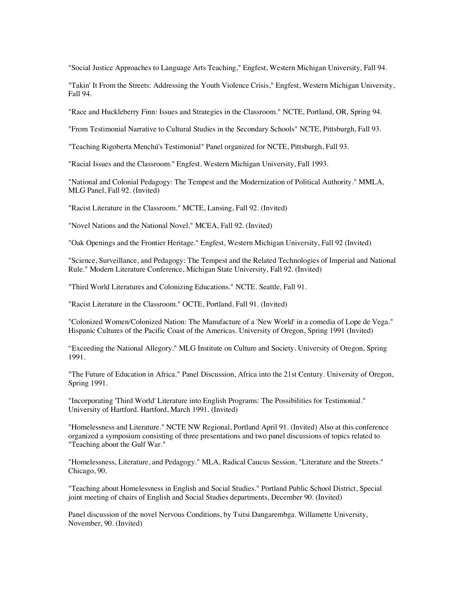"Social Justice Approaches to Language Arts Teaching," Engfest, Western Michigan University, Fall 94.

"Takin' It From the Streets: Addressing the Youth Violence Crisis," Engfest, Western Michigan University, Fall 94.

"Race and Huckleberry Finn: Issues and Strategies in the Classroom." NCTE, Portland, OR, Spring 94.

"From Testimonial Narrative to Cultural Studies in the Secondary Schools" NCTE, Pittsburgh, Fall 93.

"Teaching Rigoberta Menchú's Testimonial" Panel organized for NCTE, Pittsburgh, Fall 93.

"Racial Issues and the Classroom." Engfest. Western Michigan University, Fall 1993.

"National and Colonial Pedagogy: The Tempest and the Modernization of Political Authority." MMLA, MLG Panel, Fall 92. (Invited)

"Racist Literature in the Classroom." MCTE, Lansing, Fall 92. (Invited)

"Novel Nations and the National Novel." MCEA, Fall 92. (Invited)

"Oak Openings and the Frontier Heritage." Engfest, Western Michigan University, Fall 92 (Invited)

"Science, Surveillance, and Pedagogy: The Tempest and the Related Technologies of Imperial and National Rule." Modern Literature Conference, Michigan State University, Fall 92. (Invited)

"Third World Literatures and Colonizing Educations." NCTE. Seattle, Fall 91.

"Racist Literature in the Classroom." OCTE, Portland, Fall 91. (Invited)

"Colonized Women/Colonized Nation: The Manufacture of a 'New World' in a comedia of Lope de Vega." Hispanic Cultures of the Pacific Coast of the Americas. University of Oregon, Spring 1991 (Invited)

"Exceeding the National Allegory." MLG Institute on Culture and Society. University of Oregon, Spring 1991.

"The Future of Education in Africa." Panel Discussion, Africa into the 21st Century. University of Oregon, Spring 1991.

"Incorporating 'Third World' Literature into English Programs: The Possibilities for Testimonial." University of Hartford. Hartford, March 1991. (Invited)

"Homelessness and Literature." NCTE NW Regional, Portland April 91. (Invited) Also at this conference organized a symposium consisting of three presentations and two panel discussions of topics related to "Teaching about the Gulf War."

"Homelessness, Literature, and Pedagogy." MLA, Radical Caucus Session, "Literature and the Streets." Chicago, 90.

"Teaching about Homelessness in English and Social Studies." Portland Public School District, Special joint meeting of chairs of English and Social Studies departments, December 90. (Invited)

Panel discussion of the novel Nervous Conditions, by Tsitsi Dangarembga. Willamette University, November, 90. (Invited)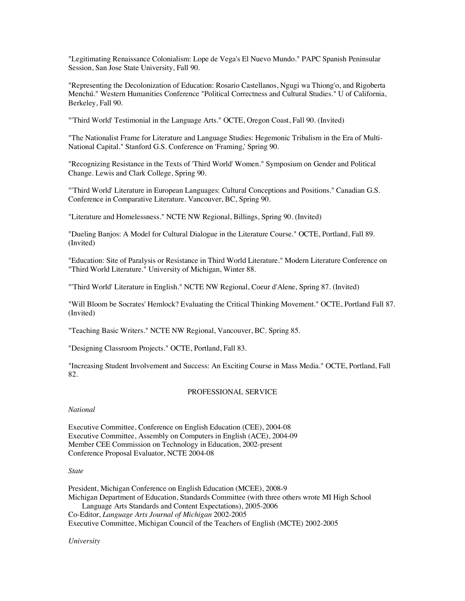"Legitimating Renaissance Colonialism: Lope de Vega's El Nuevo Mundo." PAPC Spanish Peninsular Session, San Jose State University, Fall 90.

"Representing the Decolonization of Education: Rosario Castellanos, Ngugi wa Thiong'o, and Rigoberta Menchú." Western Humanities Conference "Political Correctness and Cultural Studies." U of California, Berkeley, Fall 90.

"'Third World' Testimonial in the Language Arts." OCTE, Oregon Coast, Fall 90. (Invited)

"The Nationalist Frame for Literature and Language Studies: Hegemonic Tribalism in the Era of Multi-National Capital." Stanford G.S. Conference on 'Framing,' Spring 90.

"Recognizing Resistance in the Texts of 'Third World' Women." Symposium on Gender and Political Change. Lewis and Clark College, Spring 90.

"'Third World' Literature in European Languages: Cultural Conceptions and Positions." Canadian G.S. Conference in Comparative Literature. Vancouver, BC, Spring 90.

"Literature and Homelessness." NCTE NW Regional, Billings, Spring 90. (Invited)

"Dueling Banjos: A Model for Cultural Dialogue in the Literature Course." OCTE, Portland, Fall 89. (Invited)

"Education: Site of Paralysis or Resistance in Third World Literature." Modern Literature Conference on "Third World Literature." University of Michigan, Winter 88.

"'Third World' Literature in English." NCTE NW Regional, Coeur d'Alene, Spring 87. (Invited)

"Will Bloom be Socrates' Hemlock? Evaluating the Critical Thinking Movement." OCTE, Portland Fall 87. (Invited)

"Teaching Basic Writers." NCTE NW Regional, Vancouver, BC. Spring 85.

"Designing Classroom Projects." OCTE, Portland, Fall 83.

"Increasing Student Involvement and Success: An Exciting Course in Mass Media." OCTE, Portland, Fall 82.

### PROFESSIONAL SERVICE

*National*

Executive Committee, Conference on English Education (CEE), 2004-08 Executive Committee, Assembly on Computers in English (ACE), 2004-09 Member CEE Commission on Technology in Education, 2002-present Conference Proposal Evaluator, NCTE 2004-08

# *State*

President, Michigan Conference on English Education (MCEE), 2008-9 Michigan Department of Education, Standards Committee (with three others wrote MI High School Language Arts Standards and Content Expectations), 2005-2006 Co-Editor, *Language Arts Journal of Michigan* 2002-2005 Executive Committee, Michigan Council of the Teachers of English (MCTE) 2002-2005

*University*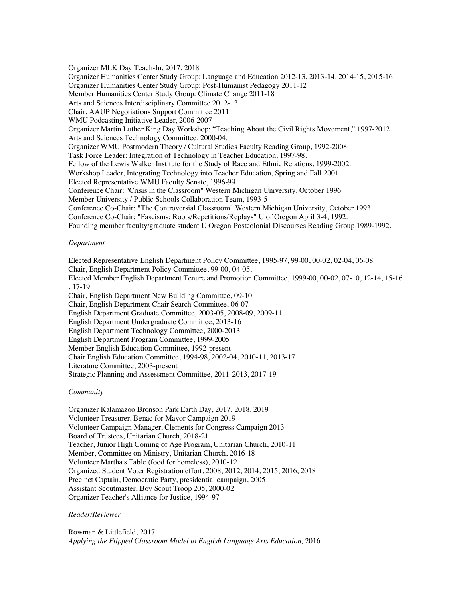Organizer MLK Day Teach-In, 2017, 2018 Organizer Humanities Center Study Group: Language and Education 2012-13, 2013-14, 2014-15, 2015-16 Organizer Humanities Center Study Group: Post-Humanist Pedagogy 2011-12 Member Humanities Center Study Group: Climate Change 2011-18 Arts and Sciences Interdisciplinary Committee 2012-13 Chair, AAUP Negotiations Support Committee 2011 WMU Podcasting Initiative Leader, 2006-2007 Organizer Martin Luther King Day Workshop: "Teaching About the Civil Rights Movement," 1997-2012. Arts and Sciences Technology Committee, 2000-04. Organizer WMU Postmodern Theory / Cultural Studies Faculty Reading Group, 1992-2008 Task Force Leader: Integration of Technology in Teacher Education, 1997-98. Fellow of the Lewis Walker Institute for the Study of Race and Ethnic Relations, 1999-2002. Workshop Leader, Integrating Technology into Teacher Education, Spring and Fall 2001. Elected Representative WMU Faculty Senate, 1996-99 Conference Chair: "Crisis in the Classroom" Western Michigan University, October 1996 Member University / Public Schools Collaboration Team, 1993-5 Conference Co-Chair: "The Controversial Classroom" Western Michigan University, October 1993 Conference Co-Chair: "Fascisms: Roots/Repetitions/Replays" U of Oregon April 3-4, 1992. Founding member faculty/graduate student U Oregon Postcolonial Discourses Reading Group 1989-1992.

# *Department*

Elected Representative English Department Policy Committee, 1995-97, 99-00, 00-02, 02-04, 06-08 Chair, English Department Policy Committee, 99-00, 04-05. Elected Member English Department Tenure and Promotion Committee, 1999-00, 00-02, 07-10, 12-14, 15-16 , 17-19 Chair, English Department New Building Committee, 09-10 Chair, English Department Chair Search Committee, 06-07 English Department Graduate Committee, 2003-05, 2008-09, 2009-11 English Department Undergraduate Committee, 2013-16 English Department Technology Committee, 2000-2013 English Department Program Committee, 1999-2005 Member English Education Committee, 1992-present Chair English Education Committee, 1994-98, 2002-04, 2010-11, 2013-17 Literature Committee, 2003-present Strategic Planning and Assessment Committee, 2011-2013, 2017-19

### *Community*

Organizer Kalamazoo Bronson Park Earth Day, 2017, 2018, 2019 Volunteer Treasurer, Benac for Mayor Campaign 2019 Volunteer Campaign Manager, Clements for Congress Campaign 2013 Board of Trustees, Unitarian Church, 2018-21 Teacher, Junior High Coming of Age Program, Unitarian Church, 2010-11 Member, Committee on Ministry, Unitarian Church, 2016-18 Volunteer Martha's Table (food for homeless), 2010-12 Organized Student Voter Registration effort, 2008, 2012, 2014, 2015, 2016, 2018 Precinct Captain, Democratic Party, presidential campaign, 2005 Assistant Scoutmaster, Boy Scout Troop 205, 2000-02 Organizer Teacher's Alliance for Justice, 1994-97

#### *Reader/Reviewer*

Rowman & Littlefield, 2017 *Applying the Flipped Classroom Model to English Language Arts Education,* 2016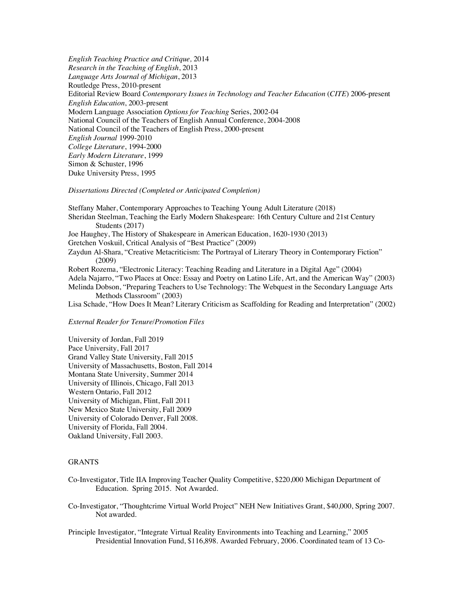*English Teaching Practice and Critique,* 2014 *Research in the Teaching of English*, 2013 *Language Arts Journal of Michigan*, 2013 Routledge Press, 2010-present Editorial Review Board *Contemporary Issues in Technology and Teacher Education* (*CITE*) 2006-present *English Education*, 2003-present Modern Language Association *Options for Teaching* Series, 2002-04 National Council of the Teachers of English Annual Conference, 2004-2008 National Council of the Teachers of English Press, 2000-present *English Journal* 1999-2010 *College Literature*, 1994-2000 *Early Modern Literature*, 1999 Simon & Schuster, 1996 Duke University Press, 1995

#### *Dissertations Directed (Completed or Anticipated Completion)*

Steffany Maher, Contemporary Approaches to Teaching Young Adult Literature (2018) Sheridan Steelman, Teaching the Early Modern Shakespeare: 16th Century Culture and 21st Century Students (2017) Joe Haughey, The History of Shakespeare in American Education, 1620-1930 (2013) Gretchen Voskuil, Critical Analysis of "Best Practice" (2009) Zaydun Al-Shara, "Creative Metacriticism: The Portrayal of Literary Theory in Contemporary Fiction" (2009) Robert Rozema, "Electronic Literacy: Teaching Reading and Literature in a Digital Age" (2004) Adela Najarro, "Two Places at Once: Essay and Poetry on Latino Life, Art, and the American Way" (2003) Melinda Dobson, "Preparing Teachers to Use Technology: The Webquest in the Secondary Language Arts Methods Classroom" (2003)

Lisa Schade, "How Does It Mean? Literary Criticism as Scaffolding for Reading and Interpretation" (2002)

#### *External Reader for Tenure/Promotion Files*

University of Jordan, Fall 2019 Pace University, Fall 2017 Grand Valley State University, Fall 2015 University of Massachusetts, Boston, Fall 2014 Montana State University, Summer 2014 University of Illinois, Chicago, Fall 2013 Western Ontario, Fall 2012 University of Michigan, Flint, Fall 2011 New Mexico State University, Fall 2009 University of Colorado Denver, Fall 2008. University of Florida, Fall 2004. Oakland University, Fall 2003.

### **GRANTS**

- Co-Investigator, Title IIA Improving Teacher Quality Competitive, \$220,000 Michigan Department of Education. Spring 2015. Not Awarded.
- Co-Investigator, "Thoughtcrime Virtual World Project" NEH New Initiatives Grant, \$40,000, Spring 2007. Not awarded.
- Principle Investigator, "Integrate Virtual Reality Environments into Teaching and Learning," 2005 Presidential Innovation Fund, \$116,898. Awarded February, 2006. Coordinated team of 13 Co-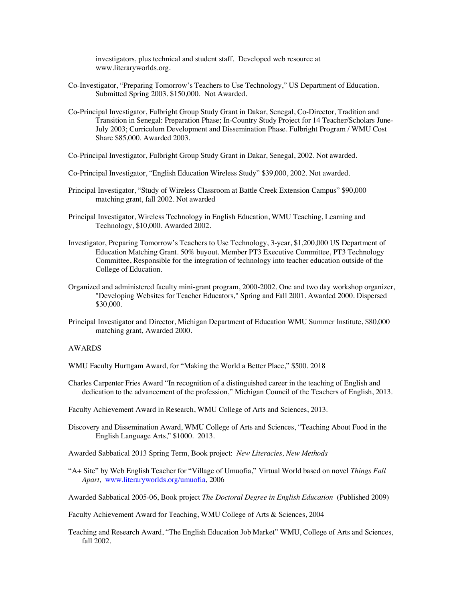investigators, plus technical and student staff. Developed web resource at www.literaryworlds.org.

- Co-Investigator, "Preparing Tomorrow's Teachers to Use Technology," US Department of Education. Submitted Spring 2003. \$150,000. Not Awarded.
- Co-Principal Investigator, Fulbright Group Study Grant in Dakar, Senegal, Co-Director, Tradition and Transition in Senegal: Preparation Phase; In-Country Study Project for 14 Teacher/Scholars June-July 2003; Curriculum Development and Dissemination Phase. Fulbright Program / WMU Cost Share \$85,000. Awarded 2003.
- Co-Principal Investigator, Fulbright Group Study Grant in Dakar, Senegal, 2002. Not awarded.
- Co-Principal Investigator, "English Education Wireless Study" \$39,000, 2002. Not awarded.
- Principal Investigator, "Study of Wireless Classroom at Battle Creek Extension Campus" \$90,000 matching grant, fall 2002. Not awarded
- Principal Investigator, Wireless Technology in English Education, WMU Teaching, Learning and Technology, \$10,000. Awarded 2002.
- Investigator, Preparing Tomorrow's Teachers to Use Technology, 3-year, \$1,200,000 US Department of Education Matching Grant. 50% buyout. Member PT3 Executive Committee, PT3 Technology Committee, Responsible for the integration of technology into teacher education outside of the College of Education.
- Organized and administered faculty mini-grant program, 2000-2002. One and two day workshop organizer, "Developing Websites for Teacher Educators," Spring and Fall 2001. Awarded 2000. Dispersed \$30,000.
- Principal Investigator and Director, Michigan Department of Education WMU Summer Institute, \$80,000 matching grant, Awarded 2000.

### AWARDS

- WMU Faculty Hurttgam Award, for "Making the World a Better Place," \$500. 2018
- Charles Carpenter Fries Award "In recognition of a distinguished career in the teaching of English and dedication to the advancement of the profession," Michigan Council of the Teachers of English, 2013.
- Faculty Achievement Award in Research, WMU College of Arts and Sciences, 2013.
- Discovery and Dissemination Award, WMU College of Arts and Sciences, "Teaching About Food in the English Language Arts," \$1000. 2013.

Awarded Sabbatical 2013 Spring Term, Book project: *New Literacies, New Methods*

"A+ Site" by Web English Teacher for "Village of Umuofia," Virtual World based on novel *Things Fall Apart,* www.literaryworlds.org/umuofia, 2006

Awarded Sabbatical 2005-06, Book project *The Doctoral Degree in English Education* (Published 2009)

Faculty Achievement Award for Teaching, WMU College of Arts & Sciences, 2004

Teaching and Research Award, "The English Education Job Market" WMU, College of Arts and Sciences, fall 2002.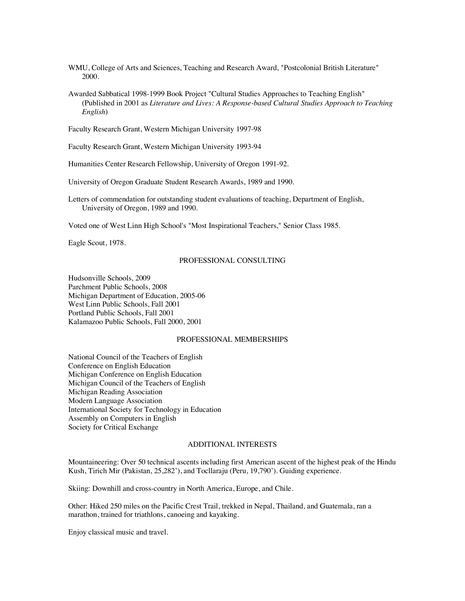WMU, College of Arts and Sciences, Teaching and Research Award, "Postcolonial British Literature" 2000.

Awarded Sabbatical 1998-1999 Book Project "Cultural Studies Approaches to Teaching English" (Published in 2001 as *Literature and Lives: A Response-based Cultural Studies Approach to Teaching English*)

Faculty Research Grant, Western Michigan University 1997-98

Faculty Research Grant, Western Michigan University 1993-94

Humanities Center Research Fellowship, University of Oregon 1991-92.

University of Oregon Graduate Student Research Awards, 1989 and 1990.

Letters of commendation for outstanding student evaluations of teaching, Department of English, University of Oregon, 1989 and 1990.

Voted one of West Linn High School's "Most Inspirational Teachers," Senior Class 1985.

Eagle Scout, 1978.

### PROFESSIONAL CONSULTING

Hudsonville Schools, 2009 Parchment Public Schools, 2008 Michigan Department of Education, 2005-06 West Linn Public Schools, Fall 2001 Portland Public Schools, Fall 2001 Kalamazoo Public Schools, Fall 2000, 2001

# PROFESSIONAL MEMBERSHIPS

National Council of the Teachers of English Conference on English Education Michigan Conference on English Education Michigan Council of the Teachers of English Michigan Reading Association Modern Language Association International Society for Technology in Education Assembly on Computers in English Society for Critical Exchange

### ADDITIONAL INTERESTS

Mountaineering: Over 50 technical ascents including first American ascent of the highest peak of the Hindu Kush, Tirich Mir (Pakistan, 25,282'), and Tocllaraju (Peru, 19,790'). Guiding experience.

Skiing: Downhill and cross-country in North America, Europe, and Chile.

Other: Hiked 250 miles on the Pacific Crest Trail, trekked in Nepal, Thailand, and Guatemala, ran a marathon, trained for triathlons, canoeing and kayaking.

Enjoy classical music and travel.